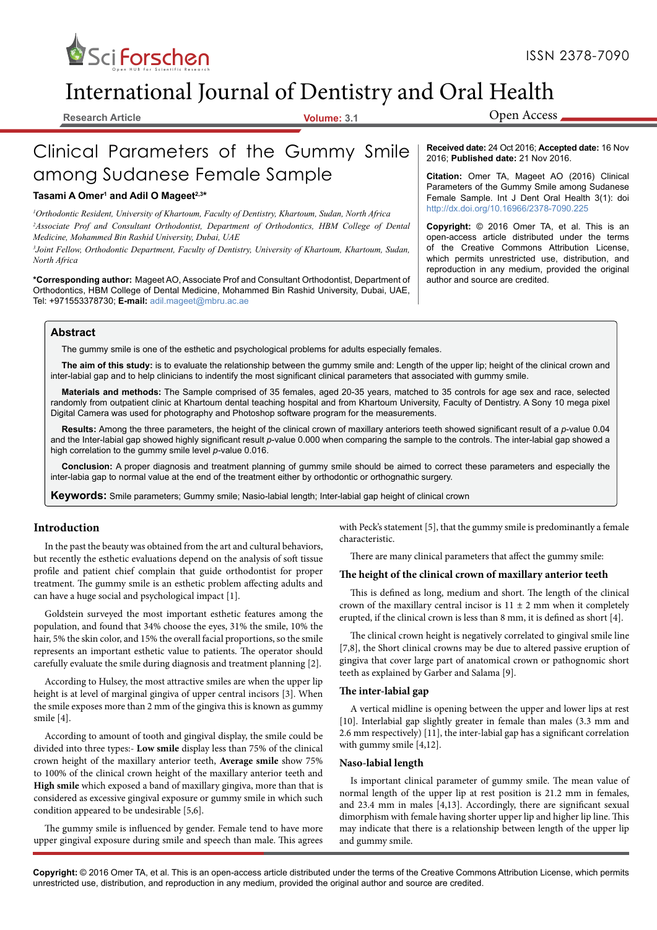

# International Journal of Dentistry and Oral Health

**Research Article Volume: 3.1**

Open Access

# Clinical Parameters of the Gummy Smile among Sudanese Female Sample

# **Tasami A Omer<sup>1</sup> and Adil O Mageet2,3 \***

*<sup>1</sup>Orthodontic Resident, University of Khartoum, Faculty of Dentistry, Khartoum, Sudan, North Africa* <sup>2</sup>*Associate Prof and Consultant Orthodontist, Department of Orthodontics, HBM College of Dental Medicine, Mohammed Bin Rashid University, Dubai, UAE* 

*<sup>3</sup>Joint Fellow, Orthodontic Department, Faculty of Dentistry, University of Khartoum, Khartoum, Sudan, North Africa*

\*Corresponding author: Mageet AO, Associate Prof and Consultant Orthodontist, Department of author and source are credited. Orthodontics, HBM College of Dental Medicine, Mohammed Bin Rashid University, Dubai, UAE, Tel: +971553378730; **E-mail:** adil.mageet@mbru.ac.ae

# **Abstract**

The gummy smile is one of the esthetic and psychological problems for adults especially females.

**The aim of this study:** is to evaluate the relationship between the gummy smile and: Length of the upper lip; height of the clinical crown and inter-labial gap and to help clinicians to indentify the most significant clinical parameters that associated with gummy smile.

**Materials and methods:** The Sample comprised of 35 females, aged 20-35 years, matched to 35 controls for age sex and race, selected randomly from outpatient clinic at Khartoum dental teaching hospital and from Khartoum University, Faculty of Dentistry. A Sony 10 mega pixel Digital Camera was used for photography and Photoshop software program for the measurements.

**Results:** Among the three parameters, the height of the clinical crown of maxillary anteriors teeth showed significant result of a *p*-value 0.04 and the Inter-labial gap showed highly significant result *p*-value 0.000 when comparing the sample to the controls. The inter-labial gap showed a high correlation to the gummy smile level *p-*value 0.016.

**Conclusion:** A proper diagnosis and treatment planning of gummy smile should be aimed to correct these parameters and especially the inter-labia gap to normal value at the end of the treatment either by orthodontic or orthognathic surgery.

**Keywords:** Smile parameters; Gummy smile; Nasio-labial length; Inter-labial gap height of clinical crown

# **Introduction**

In the past the beauty was obtained from the art and cultural behaviors, but recently the esthetic evaluations depend on the analysis of soft tissue profile and patient chief complain that guide orthodontist for proper treatment. The gummy smile is an esthetic problem affecting adults and can have a huge social and psychological impact [1].

Goldstein surveyed the most important esthetic features among the population, and found that 34% choose the eyes, 31% the smile, 10% the hair, 5% the skin color, and 15% the overall facial proportions, so the smile represents an important esthetic value to patients. The operator should carefully evaluate the smile during diagnosis and treatment planning [2].

According to Hulsey, the most attractive smiles are when the upper lip height is at level of marginal gingiva of upper central incisors [3]. When the smile exposes more than 2 mm of the gingiva this is known as gummy smile [4].

According to amount of tooth and gingival display, the smile could be divided into three types:- **Low smile** display less than 75% of the clinical crown height of the maxillary anterior teeth, **Average smile** show 75% to 100% of the clinical crown height of the maxillary anterior teeth and **High smile** which exposed a band of maxillary gingiva, more than that is considered as excessive gingival exposure or gummy smile in which such condition appeared to be undesirable [5,6].

The gummy smile is influenced by gender. Female tend to have more upper gingival exposure during smile and speech than male. This agrees

with Peck's statement [5], that the gummy smile is predominantly a female characteristic.

There are many clinical parameters that affect the gummy smile:

#### **The height of the clinical crown of maxillary anterior teeth**

This is defined as long, medium and short. The length of the clinical crown of the maxillary central incisor is  $11 \pm 2$  mm when it completely erupted, if the clinical crown is less than 8 mm, it is defined as short [4].

The clinical crown height is negatively correlated to gingival smile line [7,8], the Short clinical crowns may be due to altered passive eruption of gingiva that cover large part of anatomical crown or pathognomic short teeth as explained by Garber and Salama [9].

#### **The inter-labial gap**

A vertical midline is opening between the upper and lower lips at rest [10]. Interlabial gap slightly greater in female than males (3.3 mm and 2.6 mm respectively) [11], the inter-labial gap has a significant correlation with gummy smile [4,12].

#### **Naso-labial length**

Is important clinical parameter of gummy smile. The mean value of normal length of the upper lip at rest position is 21.2 mm in females, and 23.4 mm in males [4,13]. Accordingly, there are significant sexual dimorphism with female having shorter upper lip and higher lip line. This may indicate that there is a relationship between length of the upper lip and gummy smile.

**Copyright:** © 2016 Omer TA, et al. This is an open-access article distributed under the terms of the Creative Commons Attribution License, which permits unrestricted use, distribution, and reproduction in any medium, provided the original author and source are credited.

**Received date:** 24 Oct 2016; **Accepted date:** 16 Nov 2016; **Published date:** 21 Nov 2016.

**Citation:** Omer TA, Mageet AO (2016) Clinical Parameters of the Gummy Smile among Sudanese Female Sample. Int J Dent Oral Health 3(1): doi http://dx.doi.org/10.16966/2378-7090.225

**Copyright:** © 2016 Omer TA, et al. This is an open-access article distributed under the terms of the Creative Commons Attribution License, which permits unrestricted use, distribution, and reproduction in any medium, provided the original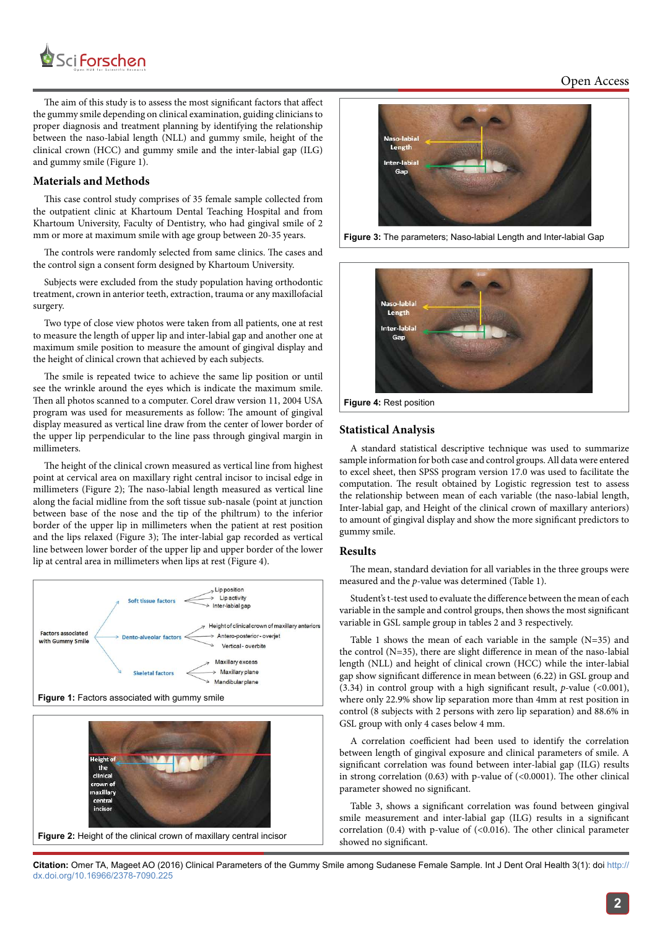

The aim of this study is to assess the most significant factors that affect the gummy smile depending on clinical examination, guiding clinicians to proper diagnosis and treatment planning by identifying the relationship between the naso-labial length (NLL) and gummy smile, height of the clinical crown (HCC) and gummy smile and the inter-labial gap (ILG) and gummy smile (Figure 1).

# **Materials and Methods**

This case control study comprises of 35 female sample collected from the outpatient clinic at Khartoum Dental Teaching Hospital and from Khartoum University, Faculty of Dentistry, who had gingival smile of 2 mm or more at maximum smile with age group between 20-35 years.

The controls were randomly selected from same clinics. The cases and the control sign a consent form designed by Khartoum University.

Subjects were excluded from the study population having orthodontic treatment, crown in anterior teeth, extraction, trauma or any maxillofacial surgery.

Two type of close view photos were taken from all patients, one at rest to measure the length of upper lip and inter-labial gap and another one at maximum smile position to measure the amount of gingival display and the height of clinical crown that achieved by each subjects.

The smile is repeated twice to achieve the same lip position or until see the wrinkle around the eyes which is indicate the maximum smile. Then all photos scanned to a computer. Corel draw version 11, 2004 USA program was used for measurements as follow: The amount of gingival display measured as vertical line draw from the center of lower border of the upper lip perpendicular to the line pass through gingival margin in millimeters.

The height of the clinical crown measured as vertical line from highest point at cervical area on maxillary right central incisor to incisal edge in millimeters (Figure 2); The naso-labial length measured as vertical line along the facial midline from the soft tissue sub-nasale (point at junction between base of the nose and the tip of the philtrum) to the inferior border of the upper lip in millimeters when the patient at rest position and the lips relaxed (Figure 3); The inter-labial gap recorded as vertical line between lower border of the upper lip and upper border of the lower lip at central area in millimeters when lips at rest (Figure 4).









**Figure 3:** The parameters; Naso-labial Length and Inter-labial Gap



**Figure 4:** Rest position

## **Statistical Analysis**

A standard statistical descriptive technique was used to summarize sample information for both case and control groups.All data were entered to excel sheet, then SPSS program version 17.0 was used to facilitate the computation. The result obtained by Logistic regression test to assess the relationship between mean of each variable (the naso-labial length, Inter-labial gap, and Height of the clinical crown of maxillary anteriors) to amount of gingival display and show the more significant predictors to gummy smile.

#### **Results**

The mean, standard deviation for all variables in the three groups were measured and the p-value was determined (Table 1).

Student's t-test used to evaluate the difference between the mean of each variable in the sample and control groups, then shows the most significant variable in GSL sample group in tables 2 and 3 respectively.

Table 1 shows the mean of each variable in the sample (N=35) and the control (N=35), there are slight difference in mean of the naso-labial length (NLL) and height of clinical crown (HCC) while the inter-labial gap show significant difference in mean between (6.22) in GSL group and (3.34) in control group with a high significant result,  $p$ -value (<0.001), where only 22.9% show lip separation more than 4mm at rest position in control (8 subjects with 2 persons with zero lip separation) and 88.6% in GSL group with only 4 cases below 4 mm.

A correlation coefficient had been used to identify the correlation between length of gingival exposure and clinical parameters of smile. A significant correlation was found between inter-labial gap (ILG) results in strong correlation (0.63) with p-value of (<0.0001). The other clinical parameter showed no significant.

Table 3, shows a significant correlation was found between gingival smile measurement and inter-labial gap (ILG) results in a significant correlation  $(0.4)$  with p-value of  $( $0.016$ ).$  The other clinical parameter showed no significant.

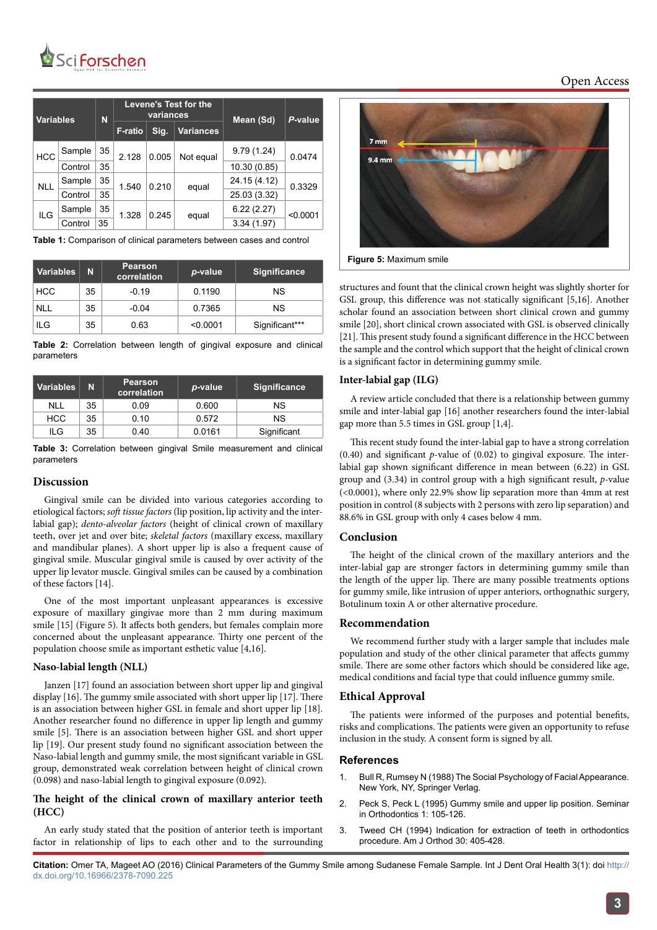

| <b>Variables</b> |         | N  | <b>Levene's Test for the</b><br>variances |       |                  | Mean (Sd)    | P-value  |
|------------------|---------|----|-------------------------------------------|-------|------------------|--------------|----------|
|                  |         |    | <b>F-ratio</b>                            | Sig.  | <b>Variances</b> |              |          |
| <b>HCC</b>       | Sample  | 35 | 2.128                                     | 0.005 | Not equal        | 9.79(1.24)   | 0.0474   |
|                  | Control | 35 |                                           |       |                  | 10.30 (0.85) |          |
| <b>NLL</b>       | Sample  | 35 | 1.540                                     | 0.210 | equal            | 24.15 (4.12) | 0.3329   |
|                  | Control | 35 |                                           |       |                  | 25.03 (3.32) |          |
| ILG              | Sample  | 35 | 1.328                                     | 0.245 | equal            | 6.22(2.27)   | < 0.0001 |
|                  | Control | 35 |                                           |       |                  | 3.34(1.97)   |          |

**Table 1:** Comparison of clinical parameters between cases and control

| Variables  | N  | <b>Pearson</b><br>correlation | p-value  | Significance   |  |
|------------|----|-------------------------------|----------|----------------|--|
| <b>HCC</b> | 35 | $-0.19$                       | 0.1190   | <b>NS</b>      |  |
| <b>NLL</b> | 35 | $-0.04$                       | 0.7365   | <b>NS</b>      |  |
| ILG        | 35 | 0.63                          | < 0.0001 | Significant*** |  |

**Table 2:** Correlation between length of gingival exposure and clinical parameters

| Variables  | N  | <b>Pearson</b><br>correlation | p-value | <b>Significance</b> |  |
|------------|----|-------------------------------|---------|---------------------|--|
| <b>NLL</b> | 35 | 0.09                          | 0.600   | ΝS                  |  |
| <b>HCC</b> | 35 | 0.10                          | 0.572   | ΝS                  |  |
| ILG        | 35 | 0.40                          | 0.0161  | Significant         |  |

**Table 3:** Correlation between gingival Smile measurement and clinical parameters

## **Discussion**

Gingival smile can be divided into various categories according to etiological factors; soft tissue factors (lip position, lip activity and the interlabial gap); dento-alveolar factors (height of clinical crown of maxillary teeth, over jet and over bite; skeletal factors (maxillary excess, maxillary and mandibular planes). A short upper lip is also a frequent cause of gingival smile. Muscular gingival smile is caused by over activity of the upper lip levator muscle. Gingival smiles can be caused by a combination of these factors [14].

One of the most important unpleasant appearances is excessive exposure of maxillary gingivae more than 2 mm during maximum smile [15] (Figure 5). It affects both genders, but females complain more concerned about the unpleasant appearance. Thirty one percent of the population choose smile as important esthetic value [4,16].

#### **Naso-labial length (NLL)**

Janzen [17] found an association between short upper lip and gingival display [16]. The gummy smile associated with short upper lip [17]. There is an association between higher GSL in female and short upper lip [18]. Another researcher found no difference in upper lip length and gummy smile [5]. There is an association between higher GSL and short upper lip [19]. Our present study found no significant association between the Naso-labial length and gummy smile, the most significant variable in GSL group, demonstrated weak correlation between height of clinical crown (0.098) and naso-labial length to gingival exposure (0.092).

# **The height of the clinical crown of maxillary anterior teeth (HCC)**

An early study stated that the position of anterior teeth is important factor in relationship of lips to each other and to the surrounding



**Figure 5:** Maximum smile

structures and fount that the clinical crown height was slightly shorter for GSL group, this difference was not statically significant [5,16]. Another scholar found an association between short clinical crown and gummy smile [20], short clinical crown associated with GSL is observed clinically [21]. This present study found a significant difference in the HCC between the sample and the control which support that the height of clinical crown is a significant factor in determining gummy smile.

#### **Inter-labial gap (ILG)**

A review article concluded that there is a relationship between gummy smile and inter-labial gap [16] another researchers found the inter-labial gap more than 5.5 times in GSL group [1,4].

This recent study found the inter-labial gap to have a strong correlation  $(0.40)$  and significant p-value of  $(0.02)$  to gingival exposure. The interlabial gap shown significant difference in mean between (6.22) in GSL group and  $(3.34)$  in control group with a high significant result, p-value (<0.0001), where only 22.9% show lip separation more than 4mm at rest position in control (8 subjects with 2 persons with zero lip separation) and 88.6% in GSL group with only 4 cases below 4 mm.

# **Conclusion**

The height of the clinical crown of the maxillary anteriors and the inter-labial gap are stronger factors in determining gummy smile than the length of the upper lip. There are many possible treatments options for gummy smile, like intrusion of upper anteriors, orthognathic surgery, Botulinum toxin A or other alternative procedure.

# **Recommendation**

We recommend further study with a larger sample that includes male population and study of the other clinical parameter that affects gummy smile. There are some other factors which should be considered like age, medical conditions and facial type that could influence gummy smile.

#### **Ethical Approval**

The patients were informed of the purposes and potential benefits, risks and complications. The patients were given an opportunity to refuse inclusion in the study. A consent form is signed by all.

#### **References**

- 1. Bull R, Rumsey N (1988) The Social Psychology of Facial Appearance. New York, NY, Springer Verlag.
- 2. Peck S, Peck L (1995) Gummy smile and upper lip position. Seminar in Orthodontics 1: 105-126.
- 3. Tweed CH (1994) Indication for extraction of teeth in orthodontics procedure. Am J Orthod 30: 405-428.

**Citation:** Omer TA, Mageet AO (2016) Clinical Parameters of the Gummy Smile among Sudanese Female Sample. Int J Dent Oral Health 3(1): doi http:// dx.doi.org/10.16966/2378-7090.225